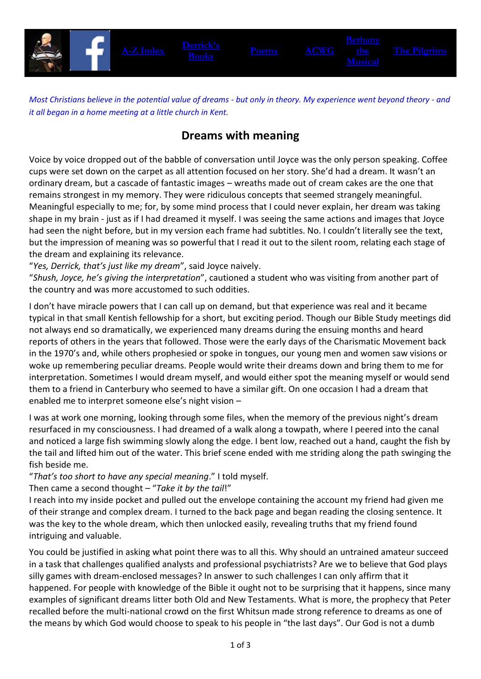

*Most Christians believe in the potential value of dreams - but only in theory. My experience went beyond theory - and it all began in a home meeting at a little church in Kent.*

## **Dreams with meaning**

Voice by voice dropped out of the babble of conversation until Joyce was the only person speaking. Coffee cups were set down on the carpet as all attention focused on her story. She'd had a dream. It wasn't an ordinary dream, but a cascade of fantastic images – wreaths made out of cream cakes are the one that remains strongest in my memory. They were ridiculous concepts that seemed strangely meaningful. Meaningful especially to me; for, by some mind process that I could never explain, her dream was taking shape in my brain - just as if I had dreamed it myself. I was seeing the same actions and images that Joyce had seen the night before, but in my version each frame had subtitles. No. I couldn't literally see the text, but the impression of meaning was so powerful that I read it out to the silent room, relating each stage of the dream and explaining its relevance.

"*Yes, Derrick, that's just like my dream*", said Joyce naively.

"*Shush, Joyce, he's giving the interpretation*", cautioned a student who was visiting from another part of the country and was more accustomed to such oddities.

I don't have miracle powers that I can call up on demand, but that experience was real and it became typical in that small Kentish fellowship for a short, but exciting period. Though our Bible Study meetings did not always end so dramatically, we experienced many dreams during the ensuing months and heard reports of others in the years that followed. Those were the early days of the Charismatic Movement back in the 1970's and, while others prophesied or spoke in tongues, our young men and women saw visions or woke up remembering peculiar dreams. People would write their dreams down and bring them to me for interpretation. Sometimes I would dream myself, and would either spot the meaning myself or would send them to a friend in Canterbury who seemed to have a similar gift. On one occasion I had a dream that enabled me to interpret someone else's night vision –

I was at work one morning, looking through some files, when the memory of the previous night's dream resurfaced in my consciousness. I had dreamed of a walk along a towpath, where I peered into the canal and noticed a large fish swimming slowly along the edge. I bent low, reached out a hand, caught the fish by the tail and lifted him out of the water. This brief scene ended with me striding along the path swinging the fish beside me.

"*That's too short to have any special meaning*." I told myself.

Then came a second thought – "*Take it by the tail*!"

I reach into my inside pocket and pulled out the envelope containing the account my friend had given me of their strange and complex dream. I turned to the back page and began reading the closing sentence. It was the key to the whole dream, which then unlocked easily, revealing truths that my friend found intriguing and valuable.

You could be justified in asking what point there was to all this. Why should an untrained amateur succeed in a task that challenges qualified analysts and professional psychiatrists? Are we to believe that God plays silly games with dream-enclosed messages? In answer to such challenges I can only affirm that it happened. For people with knowledge of the Bible it ought not to be surprising that it happens, since many examples of significant dreams litter both Old and New Testaments. What is more, the prophecy that Peter recalled before the multi-national crowd on the first Whitsun made strong reference to dreams as one of the means by which God would choose to speak to his people in "the last days". Our God is not a dumb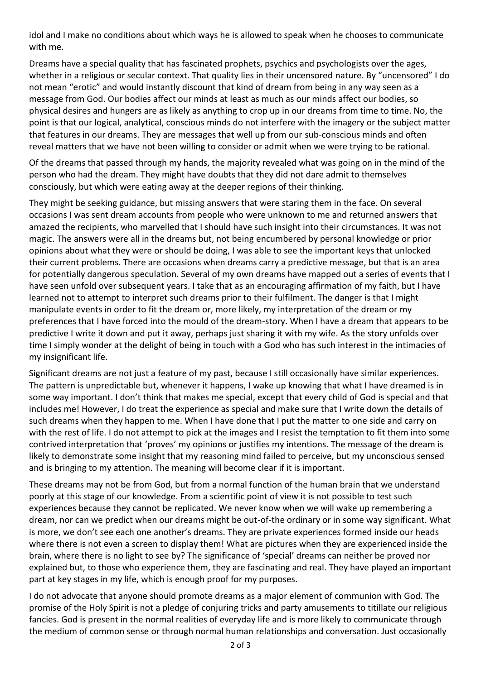idol and I make no conditions about which ways he is allowed to speak when he chooses to communicate with me.

Dreams have a special quality that has fascinated prophets, psychics and psychologists over the ages, whether in a religious or secular context. That quality lies in their uncensored nature. By "uncensored" I do not mean "erotic" and would instantly discount that kind of dream from being in any way seen as a message from God. Our bodies affect our minds at least as much as our minds affect our bodies, so physical desires and hungers are as likely as anything to crop up in our dreams from time to time. No, the point is that our logical, analytical, conscious minds do not interfere with the imagery or the subject matter that features in our dreams. They are messages that well up from our sub-conscious minds and often reveal matters that we have not been willing to consider or admit when we were trying to be rational.

Of the dreams that passed through my hands, the majority revealed what was going on in the mind of the person who had the dream. They might have doubts that they did not dare admit to themselves consciously, but which were eating away at the deeper regions of their thinking.

They might be seeking guidance, but missing answers that were staring them in the face. On several occasions I was sent dream accounts from people who were unknown to me and returned answers that amazed the recipients, who marvelled that I should have such insight into their circumstances. It was not magic. The answers were all in the dreams but, not being encumbered by personal knowledge or prior opinions about what they were or should be doing, I was able to see the important keys that unlocked their current problems. There are occasions when dreams carry a predictive message, but that is an area for potentially dangerous speculation. Several of my own dreams have mapped out a series of events that I have seen unfold over subsequent years. I take that as an encouraging affirmation of my faith, but I have learned not to attempt to interpret such dreams prior to their fulfilment. The danger is that I might manipulate events in order to fit the dream or, more likely, my interpretation of the dream or my preferences that I have forced into the mould of the dream-story. When I have a dream that appears to be predictive I write it down and put it away, perhaps just sharing it with my wife. As the story unfolds over time I simply wonder at the delight of being in touch with a God who has such interest in the intimacies of my insignificant life.

Significant dreams are not just a feature of my past, because I still occasionally have similar experiences. The pattern is unpredictable but, whenever it happens, I wake up knowing that what I have dreamed is in some way important. I don't think that makes me special, except that every child of God is special and that includes me! However, I do treat the experience as special and make sure that I write down the details of such dreams when they happen to me. When I have done that I put the matter to one side and carry on with the rest of life. I do not attempt to pick at the images and I resist the temptation to fit them into some contrived interpretation that 'proves' my opinions or justifies my intentions. The message of the dream is likely to demonstrate some insight that my reasoning mind failed to perceive, but my unconscious sensed and is bringing to my attention. The meaning will become clear if it is important.

These dreams may not be from God, but from a normal function of the human brain that we understand poorly at this stage of our knowledge. From a scientific point of view it is not possible to test such experiences because they cannot be replicated. We never know when we will wake up remembering a dream, nor can we predict when our dreams might be out-of-the ordinary or in some way significant. What is more, we don't see each one another's dreams. They are private experiences formed inside our heads where there is not even a screen to display them! What are pictures when they are experienced inside the brain, where there is no light to see by? The significance of 'special' dreams can neither be proved nor explained but, to those who experience them, they are fascinating and real. They have played an important part at key stages in my life, which is enough proof for my purposes.

I do not advocate that anyone should promote dreams as a major element of communion with God. The promise of the Holy Spirit is not a pledge of conjuring tricks and party amusements to titillate our religious fancies. God is present in the normal realities of everyday life and is more likely to communicate through the medium of common sense or through normal human relationships and conversation. Just occasionally